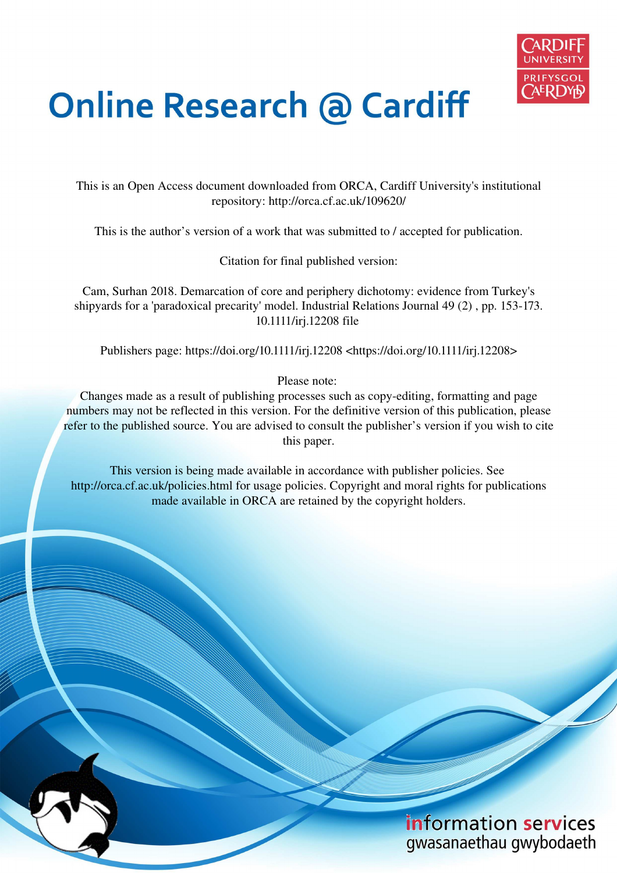

# **Online Research @ Cardiff**

This is an Open Access document downloaded from ORCA, Cardiff University's institutional repository: http://orca.cf.ac.uk/109620/

This is the author's version of a work that was submitted to / accepted for publication.

Citation for final published version:

Cam, Surhan 2018. Demarcation of core and periphery dichotomy: evidence from Turkey's shipyards for a 'paradoxical precarity' model. Industrial Relations Journal 49 (2) , pp. 153-173. 10.1111/irj.12208 file

Publishers page: https://doi.org/10.1111/irj.12208 <https://doi.org/10.1111/irj.12208>

Please note:

Changes made as a result of publishing processes such as copy-editing, formatting and page numbers may not be reflected in this version. For the definitive version of this publication, please refer to the published source. You are advised to consult the publisher's version if you wish to cite this paper.

This version is being made available in accordance with publisher policies. See http://orca.cf.ac.uk/policies.html for usage policies. Copyright and moral rights for publications made available in ORCA are retained by the copyright holders.

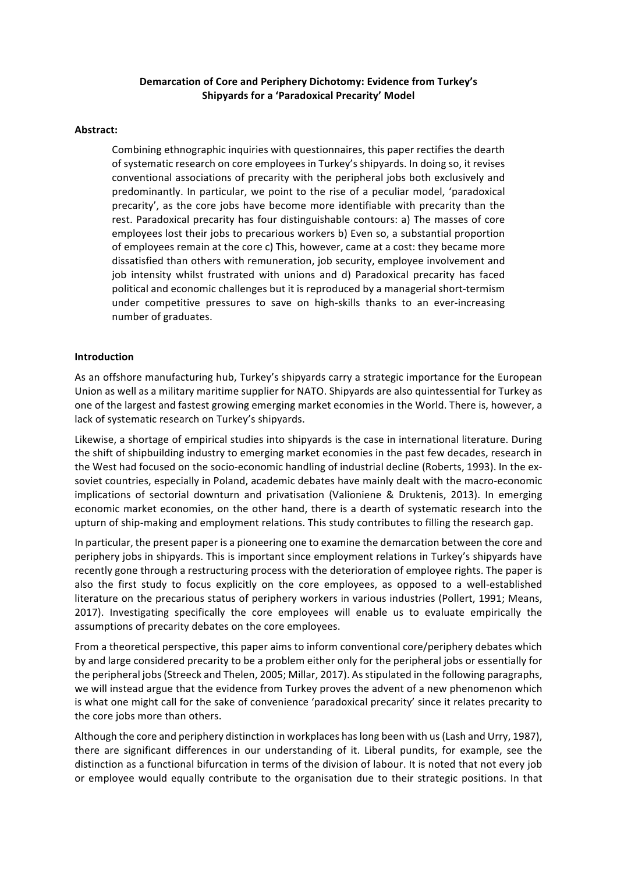## Demarcation of Core and Periphery Dichotomy: Evidence from Turkey's **Shipyards for a 'Paradoxical Precarity' Model**

### Abstract:

Combining ethnographic inquiries with questionnaires, this paper rectifies the dearth of systematic research on core employees in Turkey's shipyards. In doing so, it revises conventional associations of precarity with the peripheral jobs both exclusively and predominantly. In particular, we point to the rise of a peculiar model, 'paradoxical precarity', as the core jobs have become more identifiable with precarity than the rest. Paradoxical precarity has four distinguishable contours: a) The masses of core employees lost their jobs to precarious workers b) Even so, a substantial proportion of employees remain at the core c) This, however, came at a cost: they became more dissatisfied than others with remuneration, job security, employee involvement and job intensity whilst frustrated with unions and d) Paradoxical precarity has faced political and economic challenges but it is reproduced by a managerial short-termism under competitive pressures to save on high-skills thanks to an ever-increasing number of graduates.

#### **Introduction**

As an offshore manufacturing hub, Turkey's shipyards carry a strategic importance for the European Union as well as a military maritime supplier for NATO. Shipyards are also quintessential for Turkey as one of the largest and fastest growing emerging market economies in the World. There is, however, a lack of systematic research on Turkey's shipyards.

Likewise, a shortage of empirical studies into shipyards is the case in international literature. During the shift of shipbuilding industry to emerging market economies in the past few decades, research in the West had focused on the socio-economic handling of industrial decline (Roberts, 1993). In the exsoviet countries, especially in Poland, academic debates have mainly dealt with the macro-economic implications of sectorial downturn and privatisation (Valioniene & Druktenis, 2013). In emerging economic market economies, on the other hand, there is a dearth of systematic research into the upturn of ship-making and employment relations. This study contributes to filling the research gap.

In particular, the present paper is a pioneering one to examine the demarcation between the core and periphery jobs in shipyards. This is important since employment relations in Turkey's shipyards have recently gone through a restructuring process with the deterioration of employee rights. The paper is also the first study to focus explicitly on the core employees, as opposed to a well-established literature on the precarious status of periphery workers in various industries (Pollert, 1991; Means, 2017). Investigating specifically the core employees will enable us to evaluate empirically the assumptions of precarity debates on the core employees.

From a theoretical perspective, this paper aims to inform conventional core/periphery debates which by and large considered precarity to be a problem either only for the peripheral jobs or essentially for the peripheral jobs (Streeck and Thelen, 2005; Millar, 2017). As stipulated in the following paragraphs, we will instead argue that the evidence from Turkey proves the advent of a new phenomenon which is what one might call for the sake of convenience 'paradoxical precarity' since it relates precarity to the core jobs more than others.

Although the core and periphery distinction in workplaces has long been with us (Lash and Urry, 1987), there are significant differences in our understanding of it. Liberal pundits, for example, see the distinction as a functional bifurcation in terms of the division of labour. It is noted that not every job or employee would equally contribute to the organisation due to their strategic positions. In that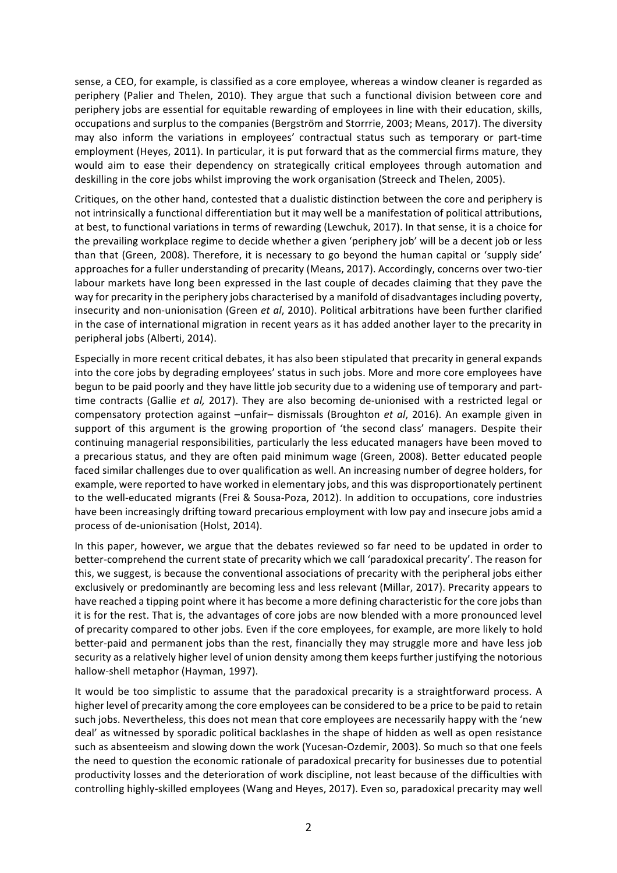sense, a CEO, for example, is classified as a core employee, whereas a window cleaner is regarded as periphery (Palier and Thelen, 2010). They argue that such a functional division between core and periphery jobs are essential for equitable rewarding of employees in line with their education, skills, occupations and surplus to the companies (Bergström and Storrrie, 2003; Means, 2017). The diversity may also inform the variations in employees' contractual status such as temporary or part-time employment (Heyes, 2011). In particular, it is put forward that as the commercial firms mature, they would aim to ease their dependency on strategically critical employees through automation and deskilling in the core jobs whilst improving the work organisation (Streeck and Thelen, 2005).

Critiques, on the other hand, contested that a dualistic distinction between the core and periphery is not intrinsically a functional differentiation but it may well be a manifestation of political attributions, at best, to functional variations in terms of rewarding (Lewchuk, 2017). In that sense, it is a choice for the prevailing workplace regime to decide whether a given 'periphery job' will be a decent job or less than that (Green, 2008). Therefore, it is necessary to go beyond the human capital or 'supply side' approaches for a fuller understanding of precarity (Means, 2017). Accordingly, concerns over two-tier labour markets have long been expressed in the last couple of decades claiming that they pave the way for precarity in the periphery jobs characterised by a manifold of disadvantages including poverty, insecurity and non-unionisation (Green *et al*, 2010). Political arbitrations have been further clarified in the case of international migration in recent years as it has added another layer to the precarity in peripheral jobs (Alberti, 2014).

Especially in more recent critical debates, it has also been stipulated that precarity in general expands into the core jobs by degrading employees' status in such jobs. More and more core employees have begun to be paid poorly and they have little job security due to a widening use of temporary and parttime contracts (Gallie *et al,* 2017). They are also becoming de-unionised with a restricted legal or compensatory protection against -unfair- dismissals (Broughton *et al*, 2016). An example given in support of this argument is the growing proportion of 'the second class' managers. Despite their continuing managerial responsibilities, particularly the less educated managers have been moved to a precarious status, and they are often paid minimum wage (Green, 2008). Better educated people faced similar challenges due to over qualification as well. An increasing number of degree holders, for example, were reported to have worked in elementary jobs, and this was disproportionately pertinent to the well-educated migrants (Frei & Sousa-Poza, 2012). In addition to occupations, core industries have been increasingly drifting toward precarious employment with low pay and insecure jobs amid a process of de-unionisation (Holst, 2014).

In this paper, however, we argue that the debates reviewed so far need to be updated in order to better-comprehend the current state of precarity which we call 'paradoxical precarity'. The reason for this, we suggest, is because the conventional associations of precarity with the peripheral jobs either exclusively or predominantly are becoming less and less relevant (Millar, 2017). Precarity appears to have reached a tipping point where it has become a more defining characteristic for the core jobs than it is for the rest. That is, the advantages of core jobs are now blended with a more pronounced level of precarity compared to other jobs. Even if the core employees, for example, are more likely to hold better-paid and permanent jobs than the rest, financially they may struggle more and have less job security as a relatively higher level of union density among them keeps further justifying the notorious hallow-shell metaphor (Hayman, 1997).

It would be too simplistic to assume that the paradoxical precarity is a straightforward process. A higher level of precarity among the core employees can be considered to be a price to be paid to retain such jobs. Nevertheless, this does not mean that core employees are necessarily happy with the 'new deal' as witnessed by sporadic political backlashes in the shape of hidden as well as open resistance such as absenteeism and slowing down the work (Yucesan-Ozdemir, 2003). So much so that one feels the need to question the economic rationale of paradoxical precarity for businesses due to potential productivity losses and the deterioration of work discipline, not least because of the difficulties with controlling highly-skilled employees (Wang and Heyes, 2017). Even so, paradoxical precarity may well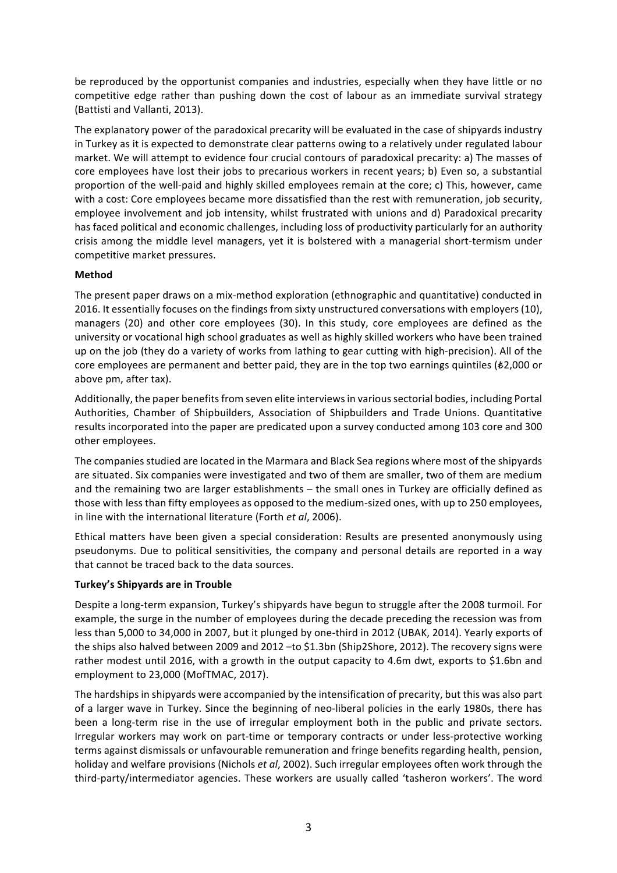be reproduced by the opportunist companies and industries, especially when they have little or no competitive edge rather than pushing down the cost of labour as an immediate survival strategy (Battisti and Vallanti, 2013).

The explanatory power of the paradoxical precarity will be evaluated in the case of shipyards industry in Turkey as it is expected to demonstrate clear patterns owing to a relatively under regulated labour market. We will attempt to evidence four crucial contours of paradoxical precarity: a) The masses of core employees have lost their jobs to precarious workers in recent years; b) Even so, a substantial proportion of the well-paid and highly skilled employees remain at the core; c) This, however, came with a cost: Core employees became more dissatisfied than the rest with remuneration, job security, employee involvement and job intensity, whilst frustrated with unions and d) Paradoxical precarity has faced political and economic challenges, including loss of productivity particularly for an authority crisis among the middle level managers, yet it is bolstered with a managerial short-termism under competitive market pressures.

## **Method**

The present paper draws on a mix-method exploration (ethnographic and quantitative) conducted in 2016. It essentially focuses on the findings from sixty unstructured conversations with employers (10), managers (20) and other core employees (30). In this study, core employees are defined as the university or vocational high school graduates as well as highly skilled workers who have been trained up on the job (they do a variety of works from lathing to gear cutting with high-precision). All of the core employees are permanent and better paid, they are in the top two earnings quintiles ( $\ell$ 2,000 or above pm, after tax).

Additionally, the paper benefits from seven elite interviews in various sectorial bodies, including Portal Authorities, Chamber of Shipbuilders, Association of Shipbuilders and Trade Unions. Quantitative results incorporated into the paper are predicated upon a survey conducted among 103 core and 300 other employees.

The companies studied are located in the Marmara and Black Sea regions where most of the shipyards are situated. Six companies were investigated and two of them are smaller, two of them are medium and the remaining two are larger establishments – the small ones in Turkey are officially defined as those with less than fifty employees as opposed to the medium-sized ones, with up to 250 employees, in line with the international literature (Forth et al, 2006).

Ethical matters have been given a special consideration: Results are presented anonymously using pseudonyms. Due to political sensitivities, the company and personal details are reported in a way that cannot be traced back to the data sources.

# **Turkey's Shipyards are in Trouble**

Despite a long-term expansion, Turkey's shipyards have begun to struggle after the 2008 turmoil. For example, the surge in the number of employees during the decade preceding the recession was from less than 5,000 to 34,000 in 2007, but it plunged by one-third in 2012 (UBAK, 2014). Yearly exports of the ships also halved between 2009 and 2012 -to \$1.3bn (Ship2Shore, 2012). The recovery signs were rather modest until 2016, with a growth in the output capacity to 4.6m dwt, exports to \$1.6bn and employment to 23,000 (MofTMAC, 2017).

The hardships in shipyards were accompanied by the intensification of precarity, but this was also part of a larger wave in Turkey. Since the beginning of neo-liberal policies in the early 1980s, there has been a long-term rise in the use of irregular employment both in the public and private sectors. Irregular workers may work on part-time or temporary contracts or under less-protective working terms against dismissals or unfavourable remuneration and fringe benefits regarding health, pension, holiday and welfare provisions (Nichols *et al*, 2002). Such irregular employees often work through the third-party/intermediator agencies. These workers are usually called 'tasheron workers'. The word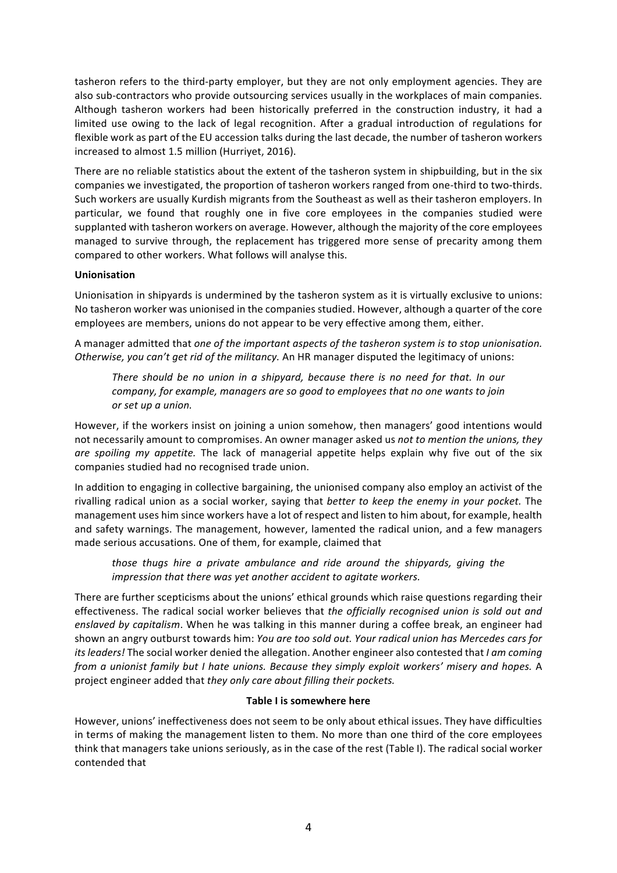tasheron refers to the third-party employer, but they are not only employment agencies. They are also sub-contractors who provide outsourcing services usually in the workplaces of main companies. Although tasheron workers had been historically preferred in the construction industry, it had a limited use owing to the lack of legal recognition. After a gradual introduction of regulations for flexible work as part of the EU accession talks during the last decade, the number of tasheron workers increased to almost 1.5 million (Hurriyet, 2016).

There are no reliable statistics about the extent of the tasheron system in shipbuilding, but in the six companies we investigated, the proportion of tasheron workers ranged from one-third to two-thirds. Such workers are usually Kurdish migrants from the Southeast as well as their tasheron employers. In particular, we found that roughly one in five core employees in the companies studied were supplanted with tasheron workers on average. However, although the majority of the core employees managed to survive through, the replacement has triggered more sense of precarity among them compared to other workers. What follows will analyse this.

## **Unionisation**

Unionisation in shipyards is undermined by the tasheron system as it is virtually exclusive to unions: No tasheron worker was unionised in the companies studied. However, although a quarter of the core employees are members, unions do not appear to be very effective among them, either.

A manager admitted that *one of the important aspects of the tasheron system is to stop unionisation. Otherwise, you can't get rid of the militancy.* An HR manager disputed the legitimacy of unions:

*There should be no union in a shipyard, because there is no need for that. In our company, for example, managers are so good to employees that no one wants to join or set up a union.* 

However, if the workers insist on joining a union somehow, then managers' good intentions would not necessarily amount to compromises. An owner manager asked us not to mention the unions, they *are spoiling my appetite.* The lack of managerial appetite helps explain why five out of the six companies studied had no recognised trade union.

In addition to engaging in collective bargaining, the unionised company also employ an activist of the rivalling radical union as a social worker, saying that *better to keep the enemy in your pocket*. The management uses him since workers have a lot of respect and listen to him about, for example, health and safety warnings. The management, however, lamented the radical union, and a few managers made serious accusations. One of them, for example, claimed that

*those thugs hire a private ambulance and ride around the shipyards, giving the impression that there was yet another accident to agitate workers.* 

There are further scepticisms about the unions' ethical grounds which raise questions regarding their effectiveness. The radical social worker believes that the officially recognised union is sold out and *enslaved by capitalism*. When he was talking in this manner during a coffee break, an engineer had shown an angry outburst towards him: You are too sold out. Your radical union has Mercedes cars for *its leaders!* The social worker denied the allegation. Another engineer also contested that *I am coming from a unionist family but I hate unions. Because they simply exploit workers' misery and hopes.* A project engineer added that *they only care about filling their pockets.* 

## **Table I is somewhere here**

However, unions' ineffectiveness does not seem to be only about ethical issues. They have difficulties in terms of making the management listen to them. No more than one third of the core employees think that managers take unions seriously, as in the case of the rest (Table I). The radical social worker contended that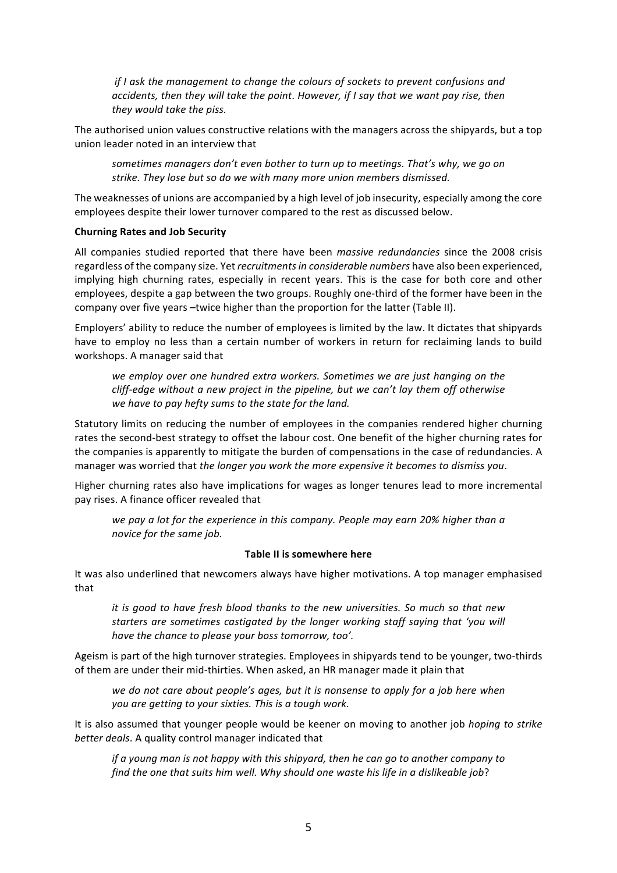*if* I ask the management to change the colours of sockets to prevent confusions and accidents, then they will take the point. However, if I say that we want pay rise, then *they* would take the piss.

The authorised union values constructive relations with the managers across the shipyards, but a top union leader noted in an interview that

sometimes managers don't even bother to turn up to meetings. That's why, we go on *strike. They lose but so do we with many more union members dismissed.*

The weaknesses of unions are accompanied by a high level of job insecurity, especially among the core employees despite their lower turnover compared to the rest as discussed below.

#### **Churning Rates and Job Security**

All companies studied reported that there have been *massive redundancies* since the 2008 crisis regardless of the company size. Yet *recruitments in considerable numbers* have also been experienced, implying high churning rates, especially in recent years. This is the case for both core and other employees, despite a gap between the two groups. Roughly one-third of the former have been in the company over five years -twice higher than the proportion for the latter (Table II).

Employers' ability to reduce the number of employees is limited by the law. It dictates that shipyards have to employ no less than a certain number of workers in return for reclaiming lands to build workshops. A manager said that

we employ over one hundred extra workers. Sometimes we are just hanging on the *cliff-edge* without a new project in the pipeline, but we can't lay them off otherwise we have to pay hefty sums to the state for the land.

Statutory limits on reducing the number of employees in the companies rendered higher churning rates the second-best strategy to offset the labour cost. One benefit of the higher churning rates for the companies is apparently to mitigate the burden of compensations in the case of redundancies. A manager was worried that the longer you work the more expensive it becomes to dismiss you.

Higher churning rates also have implications for wages as longer tenures lead to more incremental pay rises. A finance officer revealed that

*we pay a lot for the experience in this company. People may earn 20% higher than a novice* for the same job.

#### **Table II is somewhere here**

It was also underlined that newcomers always have higher motivations. A top manager emphasised that 

*it* is good to have fresh blood thanks to the new universities. So much so that new *starters are sometimes castigated by the longer working staff saying that 'you will* have the chance to please your boss tomorrow, too'.

Ageism is part of the high turnover strategies. Employees in shipyards tend to be younger, two-thirds of them are under their mid-thirties. When asked, an HR manager made it plain that

we do not care about people's ages, but it is nonsense to apply for a job here when *you are aetting to your sixties. This is a tough work.* 

It is also assumed that vounger people would be keener on moving to another job *hoping to strike* better deals. A quality control manager indicated that

*if* a young man is not happy with this shipyard, then he can go to another company to find the one that suits him well. Why should one waste his life in a dislikeable job?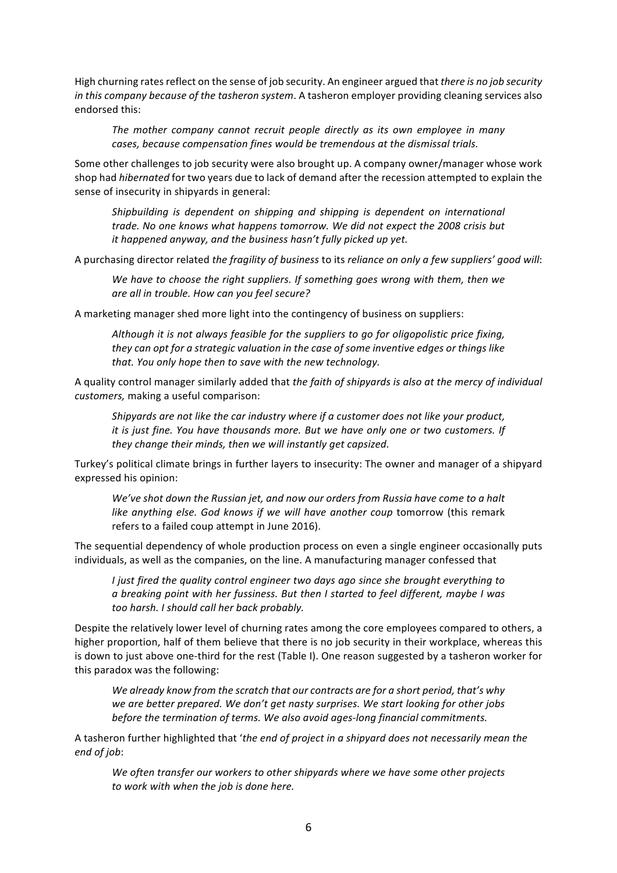High churning rates reflect on the sense of job security. An engineer argued that *there is no job security in this company because of the tasheron system*. A tasheron employer providing cleaning services also endorsed this:

The mother company cannot recruit people directly as its own employee in many *cases, because compensation fines would be tremendous at the dismissal trials.* 

Some other challenges to job security were also brought up. A company owner/manager whose work shop had *hibernated* for two vears due to lack of demand after the recession attempted to explain the sense of insecurity in shipyards in general:

*Shipbuilding* is dependent on shipping and shipping is dependent on international *trade.* No one knows what happens tomorrow. We did not expect the 2008 crisis but *it happened anyway, and the business hasn't fully picked up yet.* 

A purchasing director related the fragility of business to its reliance on only a few suppliers' good will:

We have to choose the right suppliers. If something goes wrong with them, then we are all in trouble. How can you feel secure?

A marketing manager shed more light into the contingency of business on suppliers:

Although it is not always feasible for the suppliers to go for oligopolistic price fixing, *they* can opt for a strategic valuation in the case of some inventive edges or things like *that.* You only hope then to save with the new technology.

A quality control manager similarly added that the faith of shipyards is also at the mercy of individual *customers,* making a useful comparison:

*Shipyards are not like the car industry where if a customer does not like your product, it* is just fine. You have thousands more. But we have only one or two customers. If *they change their minds, then we will instantly get capsized.* 

Turkey's political climate brings in further layers to insecurity: The owner and manager of a shipyard expressed his opinion:

We've shot down the Russian jet, and now our orders from Russia have come to a halt *like anything else. God knows if we will have another coup* tomorrow (this remark refers to a failed coup attempt in June 2016).

The sequential dependency of whole production process on even a single engineer occasionally puts individuals, as well as the companies, on the line. A manufacturing manager confessed that

*I* just fired the quality control engineer two days ago since she brought everything to *a* breaking point with her fussiness. But then I started to feel different, maybe I was too harsh. I should call her back probably.

Despite the relatively lower level of churning rates among the core employees compared to others, a higher proportion, half of them believe that there is no job security in their workplace, whereas this is down to just above one-third for the rest (Table I). One reason suggested by a tasheron worker for this paradox was the following:

We already know from the scratch that our contracts are for a short period, that's why we are better prepared. We don't get nasty surprises. We start looking for other jobs *before the termination of terms. We also avoid ages-long financial commitments.* 

A tasheron further highlighted that 'the end of project in a shipyard does not necessarily mean the *end of job*: 

We often transfer our workers to other shipyards where we have some other projects *to work with when the job is done here.*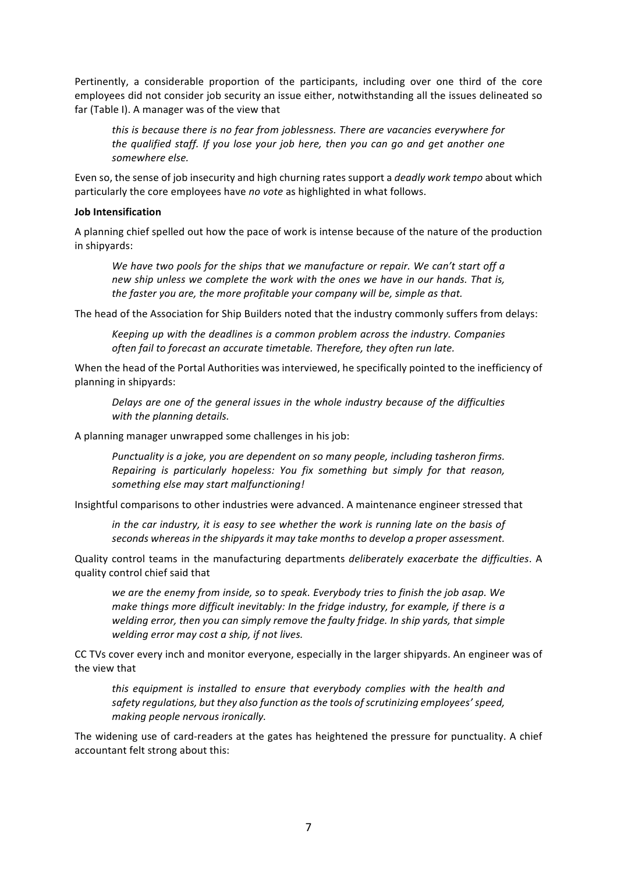Pertinently, a considerable proportion of the participants, including over one third of the core employees did not consider job security an issue either, notwithstanding all the issues delineated so far (Table I). A manager was of the view that

this is because there is no fear from joblessness. There are vacancies everywhere for *the qualified staff. If you lose your job here, then you can go and get another one* somewhere else.

Even so, the sense of job insecurity and high churning rates support a *deadly work tempo* about which particularly the core employees have *no vote* as highlighted in what follows.

## **Job Intensification**

A planning chief spelled out how the pace of work is intense because of the nature of the production in shipyards:

We have two pools for the ships that we manufacture or repair. We can't start off a *new ship unless we complete the work with the ones we have in our hands. That is, the faster you are, the more profitable your company will be, simple as that.* 

The head of the Association for Ship Builders noted that the industry commonly suffers from delays:

*Keeping up with the deadlines is a common problem across the industry. Companies often fail to forecast an accurate timetable. Therefore, they often run late.* 

When the head of the Portal Authorities was interviewed, he specifically pointed to the inefficiency of planning in shipyards:

Delays are one of the general issues in the whole industry because of the difficulties *with the planning details.*

A planning manager unwrapped some challenges in his job:

*Punctuality is a joke, you are dependent on so many people, including tasheron firms. Repairing is particularly hopeless: You fix something but simply for that reason, something else may start malfunctioning!*

Insightful comparisons to other industries were advanced. A maintenance engineer stressed that

*in* the car industry, it is easy to see whether the work is running late on the basis of seconds whereas in the shipyards it may take months to develop a proper assessment.

Quality control teams in the manufacturing departments *deliberately exacerbate the difficulties*. A quality control chief said that

we are the enemy from inside, so to speak. Everybody tries to finish the job asap. We make things more difficult inevitably: In the fridge industry, for example, if there is a welding error, then you can simply remove the faulty fridge. In ship yards, that simple welding error may cost a ship, if not lives.

CC TVs cover every inch and monitor everyone, especially in the larger shipyards. An engineer was of the view that

*this* equipment is installed to ensure that everybody complies with the health and safety regulations, but they also function as the tools of scrutinizing employees' speed, *making people nervous ironically.* 

The widening use of card-readers at the gates has heightened the pressure for punctuality. A chief accountant felt strong about this: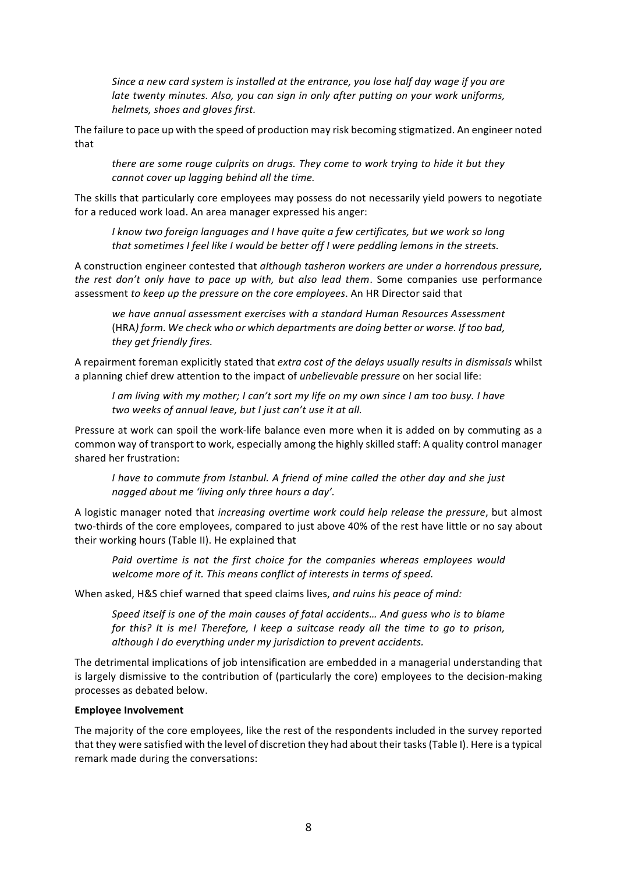Since a new card system is installed at the entrance, you lose half day wage if you are *late twenty minutes. Also, you can sign in only after putting on your work uniforms, helmets, shoes and gloves first.* 

The failure to pace up with the speed of production may risk becoming stigmatized. An engineer noted that 

*there are some rouge culprits on drugs. They come to work trying to hide it but they cannot cover up lagging behind all the time.* 

The skills that particularly core employees may possess do not necessarily yield powers to negotiate for a reduced work load. An area manager expressed his anger:

*I* know two foreign languages and *I* have quite a few certificates, but we work so long that sometimes I feel like I would be better off I were peddling lemons in the streets.

A construction engineer contested that *although tasheron workers are under a horrendous pressure, the rest don't only have to pace up with, but also lead them.* Some companies use performance assessment *to keep up the pressure on the core employees*. An HR Director said that

we have annual assessment exercises with a standard Human Resources Assessment (HRA) form. We check who or which departments are doing better or worse. If too bad, they get friendly fires.

A repairment foreman explicitly stated that *extra cost of the delays usually results in dismissals* whilst a planning chief drew attention to the impact of *unbelievable pressure* on her social life:

*I* am living with my mother; I can't sort my life on my own since I am too busy. I have *two* weeks of annual leave, but *I* just can't use it at all.

Pressure at work can spoil the work-life balance even more when it is added on by commuting as a common way of transport to work, especially among the highly skilled staff: A quality control manager shared her frustration:

*I* have to commute from Istanbul. A friend of mine called the other day and she just *nagged about me 'living only three hours a day'.* 

A logistic manager noted that *increasing overtime work could help release the pressure*, but almost two-thirds of the core employees, compared to just above 40% of the rest have little or no say about their working hours (Table II). He explained that

Paid overtime is not the first choice for the companies whereas employees would welcome more of it. This means conflict of interests in terms of speed.

When asked, H&S chief warned that speed claims lives, and ruins his peace of mind:

Speed itself is one of the main causes of fatal accidents... And guess who is to blame *for* this? It is me! Therefore, I keep a suitcase ready all the time to go to prison, *although I* do everything under my jurisdiction to prevent accidents.

The detrimental implications of job intensification are embedded in a managerial understanding that is largely dismissive to the contribution of (particularly the core) employees to the decision-making processes as debated below.

#### **Employee Involvement**

The majority of the core employees, like the rest of the respondents included in the survey reported that they were satisfied with the level of discretion they had about their tasks (Table I). Here is a typical remark made during the conversations: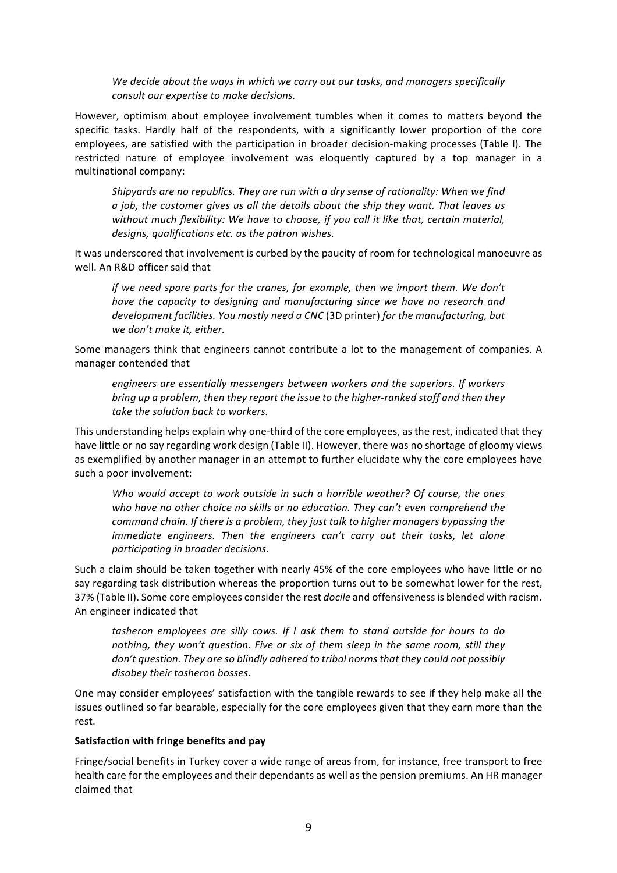We decide about the ways in which we carry out our tasks, and managers specifically *consult our expertise to make decisions.* 

However, optimism about employee involvement tumbles when it comes to matters beyond the specific tasks. Hardly half of the respondents, with a significantly lower proportion of the core employees, are satisfied with the participation in broader decision-making processes (Table I). The restricted nature of employee involvement was eloquently captured by a top manager in a multinational company:

*Shipyards are no republics. They are run with a dry sense of rationality: When we find a* job, the customer gives us all the details about the ship they want. That leaves us without much flexibility: We have to choose, if you call it like that, certain material, designs, qualifications etc. as the patron wishes.

It was underscored that involvement is curbed by the paucity of room for technological manoeuvre as well. An R&D officer said that

*if* we need spare parts for the cranes, for example, then we import them. We don't *have the capacity to designing and manufacturing since we have no research and* development facilities. You mostly need a CNC (3D printer) for the manufacturing, but *we don't make it, either.*

Some managers think that engineers cannot contribute a lot to the management of companies. A manager contended that

engineers are essentially messengers between workers and the superiors. If workers *bring* up a problem, then they report the issue to the higher-ranked staff and then they take the solution back to workers.

This understanding helps explain why one-third of the core employees, as the rest, indicated that they have little or no say regarding work design (Table II). However, there was no shortage of gloomy views as exemplified by another manager in an attempt to further elucidate why the core employees have such a poor involvement:

Who would accept to work outside in such a horrible weather? Of course, the ones who have no other choice no skills or no education. They can't even comprehend the *command chain.* If there is a problem, they just talk to higher managers bypassing the *immediate* engineers. Then the engineers can't carry out their tasks, let alone *participating in broader decisions.* 

Such a claim should be taken together with nearly 45% of the core employees who have little or no say regarding task distribution whereas the proportion turns out to be somewhat lower for the rest, 37% (Table II). Some core employees consider the rest *docile* and offensiveness is blended with racism. An engineer indicated that

*tasheron employees are silly cows.* If I ask them to stand outside for hours to do *nothing, they won't question. Five or six of them sleep in the same room, still they* don't question. They are so blindly adhered to tribal norms that they could not possibly *disobey their tasheron bosses.*

One may consider employees' satisfaction with the tangible rewards to see if they help make all the issues outlined so far bearable, especially for the core employees given that they earn more than the rest. 

## **Satisfaction with fringe benefits and pay**

Fringe/social benefits in Turkey cover a wide range of areas from, for instance, free transport to free health care for the employees and their dependants as well as the pension premiums. An HR manager claimed that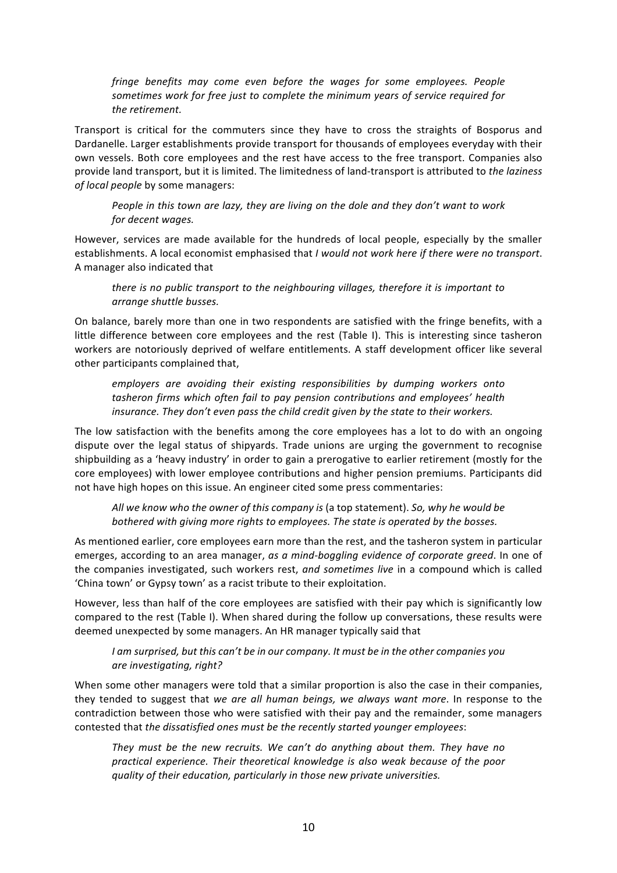*fringe benefits may come even before the wages for some employees. People* sometimes work for free just to complete the minimum years of service required for *the retirement.*

Transport is critical for the commuters since they have to cross the straights of Bosporus and Dardanelle. Larger establishments provide transport for thousands of employees everyday with their own vessels. Both core employees and the rest have access to the free transport. Companies also provide land transport, but it is limited. The limitedness of land-transport is attributed to *the laziness* of local people by some managers:

*People in this town are lazy, they are living on the dole and they don't want to work* for decent wages.

However, services are made available for the hundreds of local people, especially by the smaller establishments. A local economist emphasised that *I would not work here if there were no transport*. A manager also indicated that

*there is no public transport to the neighbouring villages, therefore it is important to arrange shuttle busses.* 

On balance, barely more than one in two respondents are satisfied with the fringe benefits, with a little difference between core employees and the rest (Table I). This is interesting since tasheron workers are notoriously deprived of welfare entitlements. A staff development officer like several other participants complained that,

employers are avoiding their existing responsibilities by dumping workers onto tasheron firms which often fail to pay pension contributions and employees' health *insurance.* They don't even pass the child credit given by the state to their workers.

The low satisfaction with the benefits among the core employees has a lot to do with an ongoing dispute over the legal status of shipyards. Trade unions are urging the government to recognise shipbuilding as a 'heavy industry' in order to gain a prerogative to earlier retirement (mostly for the core employees) with lower employee contributions and higher pension premiums. Participants did not have high hopes on this issue. An engineer cited some press commentaries:

All we know who the owner of this company is (a top statement). *So, why he would be* bothered with giving more rights to employees. The state is operated by the bosses.

As mentioned earlier, core employees earn more than the rest, and the tasheron system in particular emerges, according to an area manager, *as a mind-boggling evidence of corporate greed*. In one of the companies investigated, such workers rest, and sometimes live in a compound which is called 'China town' or Gypsy town' as a racist tribute to their exploitation.

However, less than half of the core employees are satisfied with their pay which is significantly low compared to the rest (Table I). When shared during the follow up conversations, these results were deemed unexpected by some managers. An HR manager typically said that

*I* am surprised, but this can't be in our company. It must be in the other companies you *are investigating, right?*

When some other managers were told that a similar proportion is also the case in their companies, they tended to suggest that we are all human beings, we always want more. In response to the contradiction between those who were satisfied with their pay and the remainder, some managers contested that *the dissatisfied ones must be the recently started younger employees*:

They must be the new recruits. We can't do anything about them. They have no practical experience. Their theoretical knowledge is also weak because of the poor *quality of their education, particularly in those new private universities.*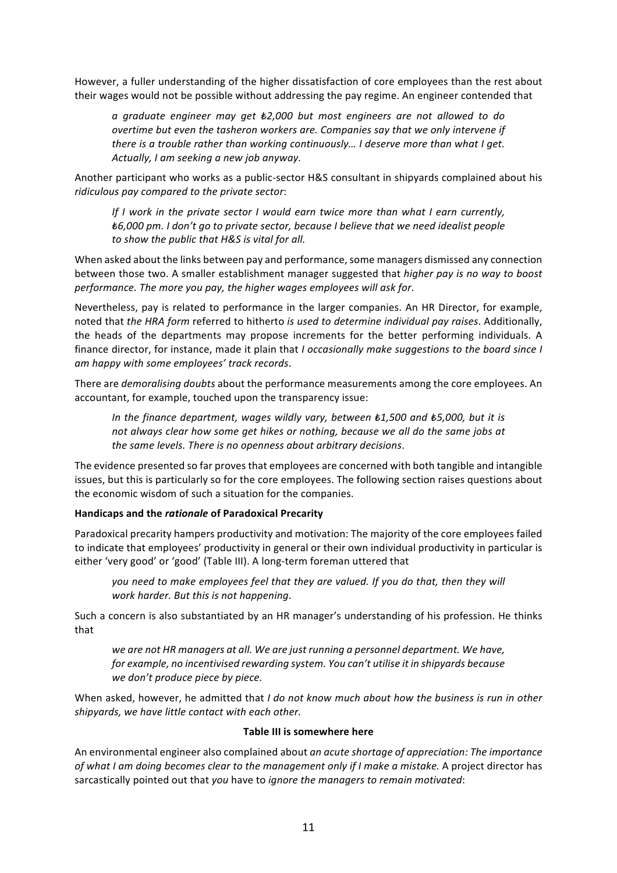However, a fuller understanding of the higher dissatisfaction of core employees than the rest about their wages would not be possible without addressing the pay regime. An engineer contended that

*a graduate engineer may get ₺2,000 but most engineers are not allowed to do overtime but even the tasheron workers are. Companies say that we only intervene if there is a trouble rather than working continuously... I deserve more than what I get. Actually, I am seeking a new job anyway.*

Another participant who works as a public-sector H&S consultant in shipyards complained about his ridiculous pay compared to the private sector:

*If* I work in the private sector I would earn twice more than what I earn currently,  **pm. I don't go to private sector, because I believe that we need idealist people** to show the public that H&S is vital for all.

When asked about the links between pay and performance, some managers dismissed any connection between those two. A smaller establishment manager suggested that *higher pay is no way to boost* performance. The more you pay, the higher wages employees will ask for.

Nevertheless, pay is related to performance in the larger companies. An HR Director, for example, noted that *the HRA form* referred to hitherto *is used to determine individual pay raises*. Additionally, the heads of the departments may propose increments for the better performing individuals. A finance director, for instance, made it plain that *I* occasionally make suggestions to the board since I *am happy with some employees' track records*. 

There are *demoralising doubts* about the performance measurements among the core employees. An accountant, for example, touched upon the transparency issue:

*In* the finance department, wages wildly vary, between  $\frac{\epsilon}{1,500}$  and  $\frac{\epsilon}{5,000}$ , but it is not always clear how some get hikes or nothing, because we all do the same jobs at the same levels. There is no openness about arbitrary decisions.

The evidence presented so far proves that employees are concerned with both tangible and intangible issues, but this is particularly so for the core employees. The following section raises questions about the economic wisdom of such a situation for the companies.

## **Handicaps and the** *rationale* **of Paradoxical Precarity**

Paradoxical precarity hampers productivity and motivation: The majority of the core employees failed to indicate that employees' productivity in general or their own individual productivity in particular is either 'very good' or 'good' (Table III). A long-term foreman uttered that

you need to make employees feel that they are valued. If you do that, then they will *work harder.* But this is not happening.

Such a concern is also substantiated by an HR manager's understanding of his profession. He thinks that 

we are not HR managers at all. We are just running a personnel department. We have, *for example, no incentivised rewarding system. You can't utilise it in shipyards because we don't produce piece by piece.* 

When asked, however, he admitted that *I do not know much about how the business is run in other* shipvards, we have little contact with each other.

# **Table III is somewhere here**

An environmental engineer also complained about *an acute shortage of appreciation:* The *importance* of what I am doing becomes clear to the management only if I make a mistake. A project director has sarcastically pointed out that *you* have to *ignore the managers to remain motivated*: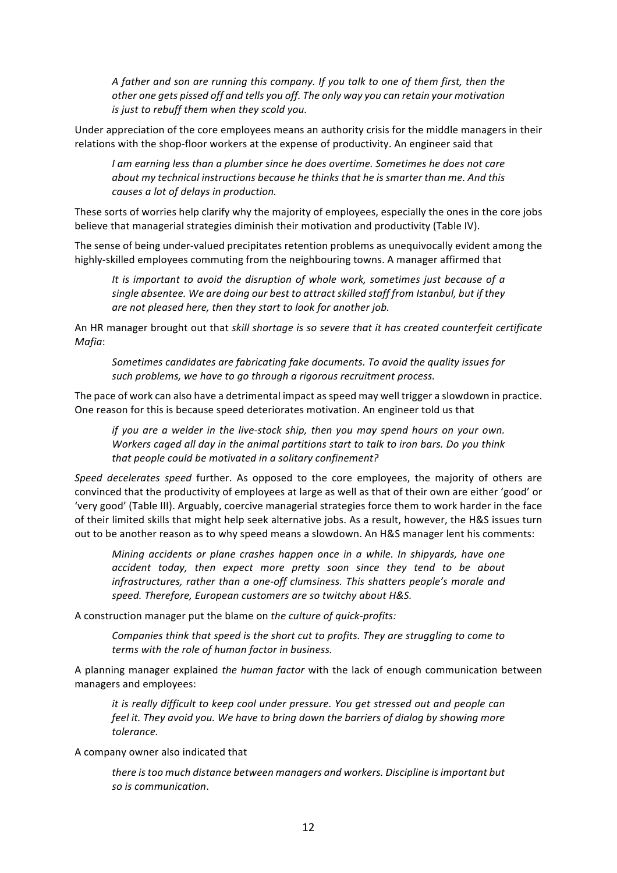*A* father and son are running this company. If you talk to one of them first, then the other one gets pissed off and tells you off. The only way you can retain your motivation *is* just to rebuff them when they scold you.

Under appreciation of the core employees means an authority crisis for the middle managers in their relations with the shop-floor workers at the expense of productivity. An engineer said that

*I* am earning less than a plumber since he does overtime. Sometimes he does not care *about* my technical instructions because he thinks that he is smarter than me. And this *causes a lot of delays in production.*

These sorts of worries help clarify why the majority of employees, especially the ones in the core jobs believe that managerial strategies diminish their motivation and productivity (Table IV).

The sense of being under-valued precipitates retention problems as unequivocally evident among the highly-skilled employees commuting from the neighbouring towns. A manager affirmed that

*It* is important to avoid the disruption of whole work, sometimes just because of a *single absentee.* We are doing our best to attract skilled staff from Istanbul, but if they *are not pleased here, then they start to look for another job.* 

An HR manager brought out that *skill shortage is so severe that it has created counterfeit certificate Mafia*: 

*Sometimes candidates are fabricating fake documents. To avoid the quality issues for* such problems, we have to go through a rigorous recruitment process.

The pace of work can also have a detrimental impact as speed may well trigger a slowdown in practice. One reason for this is because speed deteriorates motivation. An engineer told us that

*if* you are a welder in the live-stock ship, then you may spend hours on your own. *Workers caged all day in the animal partitions start to talk to iron bars. Do you think* that people could be motivated in a solitary confinement?

*Speed decelerates speed* further. As opposed to the core employees, the majority of others are convinced that the productivity of employees at large as well as that of their own are either 'good' or 'very good' (Table III). Arguably, coercive managerial strategies force them to work harder in the face of their limited skills that might help seek alternative jobs. As a result, however, the H&S issues turn out to be another reason as to why speed means a slowdown. An H&S manager lent his comments:

*Mining* accidents or plane crashes happen once in a while. In shipyards, have one *accident today, then expect more pretty soon since they tend to be about infrastructures, rather than a one-off clumsiness. This shatters people's morale and speed. Therefore, European customers are so twitchy about H&S.*

A construction manager put the blame on *the culture of quick-profits:* 

*Companies think that speed is the short cut to profits. They are struggling to come to terms* with the role of human factor in business.

A planning manager explained *the human factor* with the lack of enough communication between managers and employees:

*it* is really difficult to keep cool under pressure. You aet stressed out and people can feel it. They avoid you. We have to bring down the barriers of dialog by showing more *tolerance.* 

A company owner also indicated that

there is too much distance between managers and workers. Discipline is important but *so is communication*.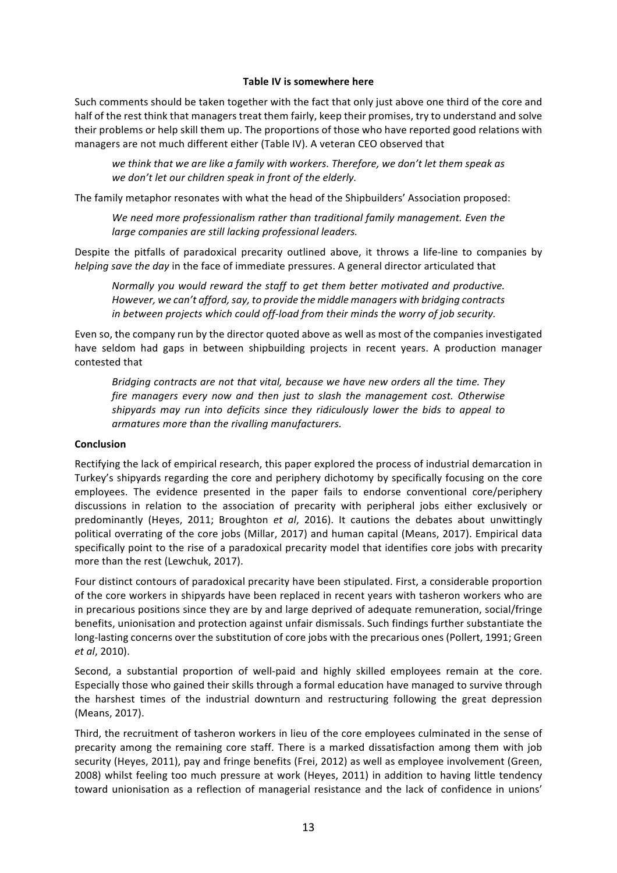#### **Table IV is somewhere here**

Such comments should be taken together with the fact that only just above one third of the core and half of the rest think that managers treat them fairly, keep their promises, try to understand and solve their problems or help skill them up. The proportions of those who have reported good relations with managers are not much different either (Table IV). A veteran CEO observed that

we think that we are like a family with workers. Therefore, we don't let them speak as we don't let our children speak in front of the elderly.

The family metaphor resonates with what the head of the Shipbuilders' Association proposed:

We need more professionalism rather than traditional family management. Even the large companies are still lacking professional leaders.

Despite the pitfalls of paradoxical precarity outlined above, it throws a life-line to companies by *helping save the day* in the face of immediate pressures. A general director articulated that

*Normally you would reward the staff to get them better motivated and productive.* However, we can't afford, say, to provide the middle managers with bridging contracts *in between projects which could off-load from their minds the worry of job security.*

Even so, the company run by the director quoted above as well as most of the companies investigated have seldom had gaps in between shipbuilding projects in recent years. A production manager contested that

*Bridging contracts are not that vital, because we have new orders all the time. They fire managers every now and then just to slash the management cost. Otherwise shipyards* may run into deficits since they ridiculously lower the bids to appeal to *armatures* more than the rivalling manufacturers.

## **Conclusion**

Rectifying the lack of empirical research, this paper explored the process of industrial demarcation in Turkey's shipyards regarding the core and periphery dichotomy by specifically focusing on the core employees. The evidence presented in the paper fails to endorse conventional core/periphery discussions in relation to the association of precarity with peripheral jobs either exclusively or predominantly (Heyes, 2011; Broughton *et al*, 2016). It cautions the debates about unwittingly political overrating of the core jobs (Millar, 2017) and human capital (Means, 2017). Empirical data specifically point to the rise of a paradoxical precarity model that identifies core jobs with precarity more than the rest (Lewchuk, 2017).

Four distinct contours of paradoxical precarity have been stipulated. First, a considerable proportion of the core workers in shipyards have been replaced in recent years with tasheron workers who are in precarious positions since they are by and large deprived of adequate remuneration, social/fringe benefits, unionisation and protection against unfair dismissals. Such findings further substantiate the long-lasting concerns over the substitution of core jobs with the precarious ones (Pollert, 1991; Green *et al,* 2010).

Second, a substantial proportion of well-paid and highly skilled employees remain at the core. Especially those who gained their skills through a formal education have managed to survive through the harshest times of the industrial downturn and restructuring following the great depression (Means, 2017).

Third, the recruitment of tasheron workers in lieu of the core employees culminated in the sense of precarity among the remaining core staff. There is a marked dissatisfaction among them with job security (Heyes, 2011), pay and fringe benefits (Frei, 2012) as well as employee involvement (Green, 2008) whilst feeling too much pressure at work (Heyes, 2011) in addition to having little tendency toward unionisation as a reflection of managerial resistance and the lack of confidence in unions'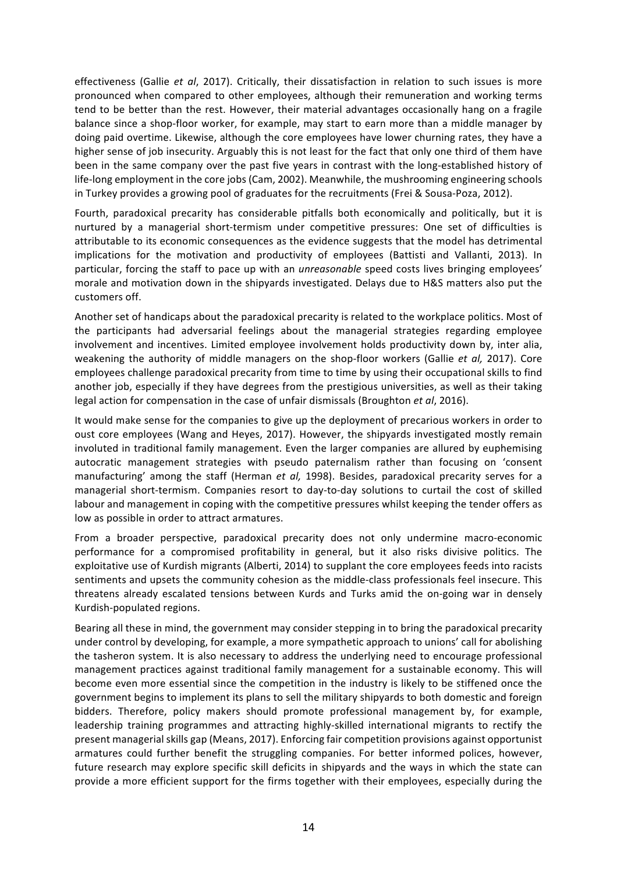effectiveness (Gallie et al, 2017). Critically, their dissatisfaction in relation to such issues is more pronounced when compared to other employees, although their remuneration and working terms tend to be better than the rest. However, their material advantages occasionally hang on a fragile balance since a shop-floor worker, for example, may start to earn more than a middle manager by doing paid overtime. Likewise, although the core employees have lower churning rates, they have a higher sense of job insecurity. Arguably this is not least for the fact that only one third of them have been in the same company over the past five years in contrast with the long-established history of life-long employment in the core jobs (Cam, 2002). Meanwhile, the mushrooming engineering schools in Turkey provides a growing pool of graduates for the recruitments (Frei & Sousa-Poza, 2012).

Fourth, paradoxical precarity has considerable pitfalls both economically and politically, but it is nurtured by a managerial short-termism under competitive pressures: One set of difficulties is attributable to its economic consequences as the evidence suggests that the model has detrimental implications for the motivation and productivity of employees (Battisti and Vallanti, 2013). In particular, forcing the staff to pace up with an *unreasonable* speed costs lives bringing employees' morale and motivation down in the shipyards investigated. Delays due to H&S matters also put the customers off. 

Another set of handicaps about the paradoxical precarity is related to the workplace politics. Most of the participants had adversarial feelings about the managerial strategies regarding employee involvement and incentives. Limited employee involvement holds productivity down by, inter alia, weakening the authority of middle managers on the shop-floor workers (Gallie *et al,* 2017). Core employees challenge paradoxical precarity from time to time by using their occupational skills to find another job, especially if they have degrees from the prestigious universities, as well as their taking legal action for compensation in the case of unfair dismissals (Broughton et al, 2016).

It would make sense for the companies to give up the deployment of precarious workers in order to oust core employees (Wang and Heyes, 2017). However, the shipyards investigated mostly remain involuted in traditional family management. Even the larger companies are allured by euphemising autocratic management strategies with pseudo paternalism rather than focusing on 'consent manufacturing' among the staff (Herman *et al,* 1998). Besides, paradoxical precarity serves for a managerial short-termism. Companies resort to day-to-day solutions to curtail the cost of skilled labour and management in coping with the competitive pressures whilst keeping the tender offers as low as possible in order to attract armatures.

From a broader perspective, paradoxical precarity does not only undermine macro-economic performance for a compromised profitability in general, but it also risks divisive politics. The exploitative use of Kurdish migrants (Alberti, 2014) to supplant the core employees feeds into racists sentiments and upsets the community cohesion as the middle-class professionals feel insecure. This threatens already escalated tensions between Kurds and Turks amid the on-going war in densely Kurdish-populated regions.

Bearing all these in mind, the government may consider stepping in to bring the paradoxical precarity under control by developing, for example, a more sympathetic approach to unions' call for abolishing the tasheron system. It is also necessary to address the underlying need to encourage professional management practices against traditional family management for a sustainable economy. This will become even more essential since the competition in the industry is likely to be stiffened once the government begins to implement its plans to sell the military shipyards to both domestic and foreign bidders. Therefore, policy makers should promote professional management by, for example, leadership training programmes and attracting highly-skilled international migrants to rectify the present managerial skills gap (Means, 2017). Enforcing fair competition provisions against opportunist armatures could further benefit the struggling companies. For better informed polices, however, future research may explore specific skill deficits in shipyards and the ways in which the state can provide a more efficient support for the firms together with their employees, especially during the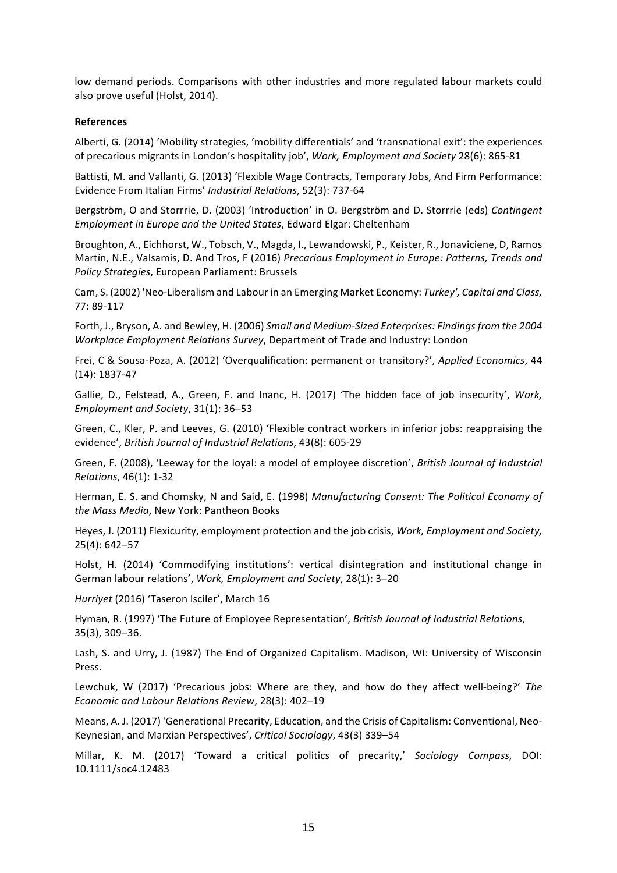low demand periods. Comparisons with other industries and more regulated labour markets could also prove useful (Holst, 2014).

#### **References**

Alberti, G. (2014) 'Mobility strategies, 'mobility differentials' and 'transnational exit': the experiences of precarious migrants in London's hospitality job', *Work, Employment and Society* 28(6): 865-81

Battisti, M. and Vallanti, G. (2013) 'Flexible Wage Contracts, Temporary Jobs, And Firm Performance: Evidence From Italian Firms' *Industrial Relations*, 52(3): 737-64

Bergström, O and Storrrie, D. (2003) 'Introduction' in O. Bergström and D. Storrrie (eds) *Contingent Employment in Europe and the United States*, Edward Elgar: Cheltenham

Broughton, A., Eichhorst, W., Tobsch, V., Magda, I., Lewandowski, P., Keister, R., Jonaviciene, D. Ramos Martín, N.E., Valsamis, D. And Tros, F (2016) *Precarious Employment in Europe: Patterns, Trends and Policy Strategies*, European Parliament: Brussels

Cam, S. (2002) 'Neo-Liberalism and Labour in an Emerging Market Economy: *Turkey', Capital and Class,* 77: 89-117

Forth, J., Bryson, A. and Bewley, H. (2006) *Small and Medium-Sized Enterprises: Findings from the 2004 Workplace Employment Relations Survey*, Department of Trade and Industry: London

Frei, C & Sousa-Poza, A. (2012) 'Overqualification: permanent or transitory?', *Applied Economics*, 44  $(14): 1837-47$ 

Gallie, D., Felstead, A., Green, F. and Inanc, H. (2017) 'The hidden face of job insecurity', Work, *Employment and Society*, 31(1): 36-53

Green, C., Kler, P. and Leeves, G. (2010) 'Flexible contract workers in inferior jobs: reappraising the evidence', British Journal of Industrial Relations, 43(8): 605-29

Green, F. (2008), 'Leeway for the loyal: a model of employee discretion', *British Journal of Industrial Relations*, 46(1): 1-32

Herman, E. S. and Chomsky, N and Said, E. (1998) *Manufacturing Consent: The Political Economy of the Mass Media*, New York: Pantheon Books

Heyes, J. (2011) Flexicurity, employment protection and the job crisis, *Work, Employment and Society,*  $25(4): 642 - 57$ 

Holst, H. (2014) 'Commodifying institutions': vertical disintegration and institutional change in German labour relations', *Work, Employment and Society*, 28(1): 3-20

*Hurriyet* (2016) 'Taseron Isciler', March 16

Hyman, R. (1997) 'The Future of Employee Representation', *British Journal of Industrial Relations*, 35(3), 309–36. 

Lash, S. and Urry, J. (1987) The End of Organized Capitalism. Madison, WI: University of Wisconsin Press. 

Lewchuk, W (2017) 'Precarious jobs: Where are they, and how do they affect well-being?' The *Economic and Labour Relations Review*, 28(3): 402–19 

Means, A. J. (2017) 'Generational Precarity, Education, and the Crisis of Capitalism: Conventional, Neo-Keynesian, and Marxian Perspectives', *Critical Sociology*, 43(3) 339–54

Millar, K. M. (2017) 'Toward a critical politics of precarity,' *Sociology Compass,*  DOI: 10.1111/soc4.12483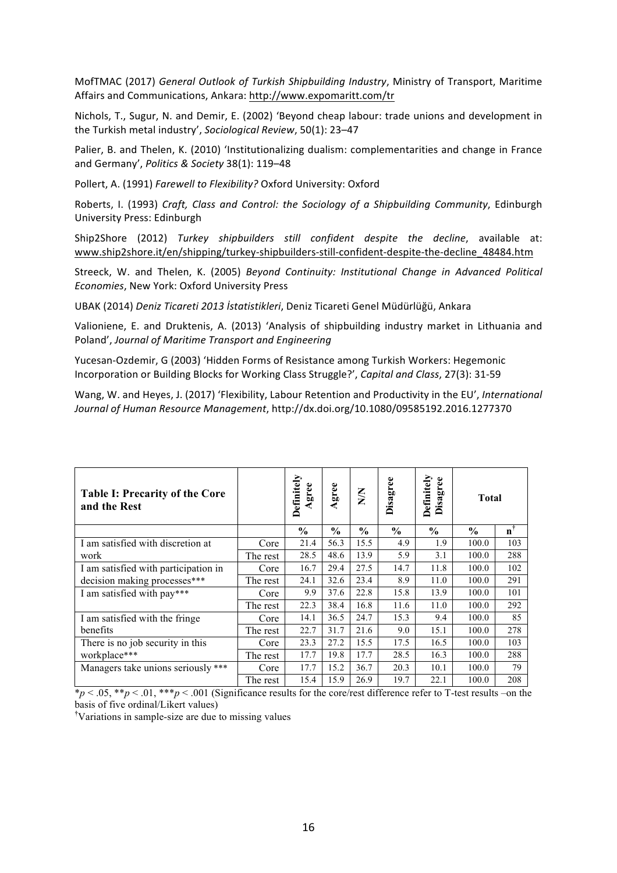MofTMAC (2017) *General Outlook of Turkish Shipbuilding Industry*, Ministry of Transport, Maritime Affairs and Communications, Ankara: http://www.expomaritt.com/tr

Nichols, T., Sugur, N. and Demir, E. (2002) 'Beyond cheap labour: trade unions and development in the Turkish metal industry', *Sociological Review*, 50(1): 23-47

Palier, B. and Thelen, K. (2010) 'Institutionalizing dualism: complementarities and change in France and Germany', Politics & Society 38(1): 119-48

Pollert, A. (1991) *Farewell to Flexibility?* Oxford University: Oxford

Roberts, I. (1993) *Craft, Class and Control: the Sociology of a Shipbuilding Community*, Edinburgh University Press: Edinburgh

Ship2Shore (2012) *Turkey shipbuilders still confident despite the decline*, available at: www.ship2shore.it/en/shipping/turkey-shipbuilders-still-confident-despite-the-decline\_48484.htm 

Streeck, W. and Thelen, K. (2005) *Beyond Continuity: Institutional Change in Advanced Political Economies*, New York: Oxford University Press

UBAK (2014) Deniz Ticareti 2013 İstatistikleri, Deniz Ticareti Genel Müdürlüğü, Ankara

Valioniene, E. and Druktenis, A. (2013) 'Analysis of shipbuilding industry market in Lithuania and Poland', *Journal of Maritime Transport and Engineering* 

Yucesan-Ozdemir, G (2003) 'Hidden Forms of Resistance among Turkish Workers: Hegemonic Incorporation or Building Blocks for Working Class Struggle?', *Capital and Class*, 27(3): 31-59

Wang, W. and Heyes, J. (2017) 'Flexibility, Labour Retention and Productivity in the EU', *International Journal of Human Resource Management*, http://dx.doi.org/10.1080/09585192.2016.1277370

| <b>Table I: Precarity of the Core</b><br>and the Rest                |          | Definitely<br>Agree | Agree         | $\sum_{i=1}^{n}$ | Disagree      | Definitely<br>ee<br>ā<br>isa<br>≏ | <b>Total</b>  |                        |
|----------------------------------------------------------------------|----------|---------------------|---------------|------------------|---------------|-----------------------------------|---------------|------------------------|
|                                                                      |          | $\frac{6}{9}$       | $\frac{0}{0}$ | $\frac{6}{9}$    | $\frac{6}{9}$ | $\frac{0}{0}$                     | $\frac{6}{6}$ | $\mathbf{n}^{\dagger}$ |
| I am satisfied with discretion at                                    | Core     | 21.4                | 56.3          | 15.5             | 4.9           | 1.9                               | 100.0         | 103                    |
| work                                                                 | The rest | 28.5                | 48.6          | 13.9             | 5.9           | 3.1                               | 100.0         | 288                    |
| I am satisfied with participation in<br>decision making processes*** | Core     | 16.7                | 29.4          | 27.5             | 14.7          | 11.8                              | 100.0         | 102                    |
|                                                                      | The rest | 24.1                | 32.6          | 23.4             | 8.9           | 11.0                              | 100.0         | 291                    |
| I am satisfied with pay***                                           | Core     | 9.9                 | 37.6          | 22.8             | 15.8          | 13.9                              | 100.0         | 101                    |
|                                                                      | The rest | 22.3                | 38.4          | 16.8             | 11.6          | 11.0                              | 100.0         | 292                    |
| I am satisfied with the fringe<br>benefits                           | Core     | 14.1                | 36.5          | 24.7             | 15.3          | 9.4                               | 100.0         | 85                     |
|                                                                      | The rest | 22.7                | 31.7          | 21.6             | 9.0           | 15.1                              | 100.0         | 278                    |
| There is no job security in this<br>workplace***                     | Core     | 23.3                | 27.2          | 15.5             | 17.5          | 16.5                              | 100.0         | 103                    |
|                                                                      | The rest | 17.7                | 19.8          | 17.7             | 28.5          | 16.3                              | 100.0         | 288                    |
| Managers take unions seriously ***                                   | Core     | 17.7                | 15.2          | 36.7             | 20.3          | 10.1                              | 100.0         | 79                     |
|                                                                      | The rest | 15.4                | 15.9          | 26.9             | 19.7          | 22.1                              | 100.0         | 208                    |

\**p* < .05, \*\**p* < .01, \*\*\**p* < .001 (Significance results for the core/rest difference refer to T-test results –on the basis of five ordinal/Likert values)

**†**Variations in sample-size are due to missing values